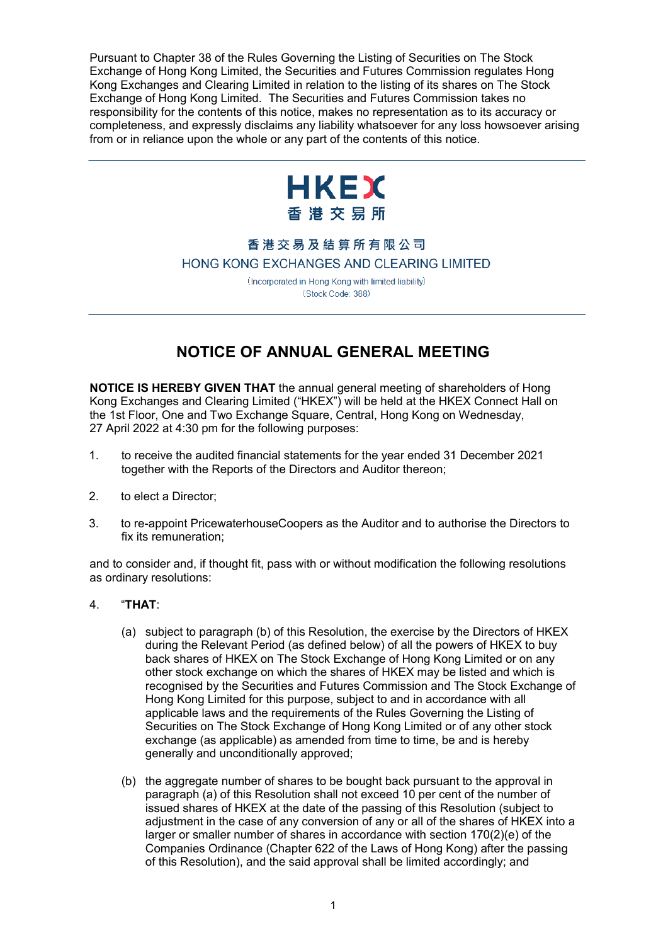Pursuant to Chapter 38 of the Rules Governing the Listing of Securities on The Stock Exchange of Hong Kong Limited, the Securities and Futures Commission regulates Hong Kong Exchanges and Clearing Limited in relation to the listing of its shares on The Stock Exchange of Hong Kong Limited. The Securities and Futures Commission takes no responsibility for the contents of this notice, makes no representation as to its accuracy or completeness, and expressly disclaims any liability whatsoever for any loss howsoever arising from or in reliance upon the whole or any part of the contents of this notice.



## 香港交易及結算所有限公司 HONG KONG EXCHANGES AND CLEARING LIMITED

(Incorporated in Hong Kong with limited liability) (Stock Code: 388)

## **NOTICE OF ANNUAL GENERAL MEETING**

**NOTICE IS HEREBY GIVEN THAT** the annual general meeting of shareholders of Hong Kong Exchanges and Clearing Limited ("HKEX") will be held at the HKEX Connect Hall on the 1st Floor, One and Two Exchange Square, Central, Hong Kong on Wednesday, 27 April 2022 at 4:30 pm for the following purposes:

- 1. to receive the audited financial statements for the year ended 31 December 2021 together with the Reports of the Directors and Auditor thereon;
- 2. to elect a Director;
- 3. to re-appoint PricewaterhouseCoopers as the Auditor and to authorise the Directors to fix its remuneration;

and to consider and, if thought fit, pass with or without modification the following resolutions as ordinary resolutions:

## 4. "**THAT**:

- (a) subject to paragraph (b) of this Resolution, the exercise by the Directors of HKEX during the Relevant Period (as defined below) of all the powers of HKEX to buy back shares of HKEX on The Stock Exchange of Hong Kong Limited or on any other stock exchange on which the shares of HKEX may be listed and which is recognised by the Securities and Futures Commission and The Stock Exchange of Hong Kong Limited for this purpose, subject to and in accordance with all applicable laws and the requirements of the Rules Governing the Listing of Securities on The Stock Exchange of Hong Kong Limited or of any other stock exchange (as applicable) as amended from time to time, be and is hereby generally and unconditionally approved;
- (b) the aggregate number of shares to be bought back pursuant to the approval in paragraph (a) of this Resolution shall not exceed 10 per cent of the number of issued shares of HKEX at the date of the passing of this Resolution (subject to adjustment in the case of any conversion of any or all of the shares of HKEX into a larger or smaller number of shares in accordance with section 170(2)(e) of the Companies Ordinance (Chapter 622 of the Laws of Hong Kong) after the passing of this Resolution), and the said approval shall be limited accordingly; and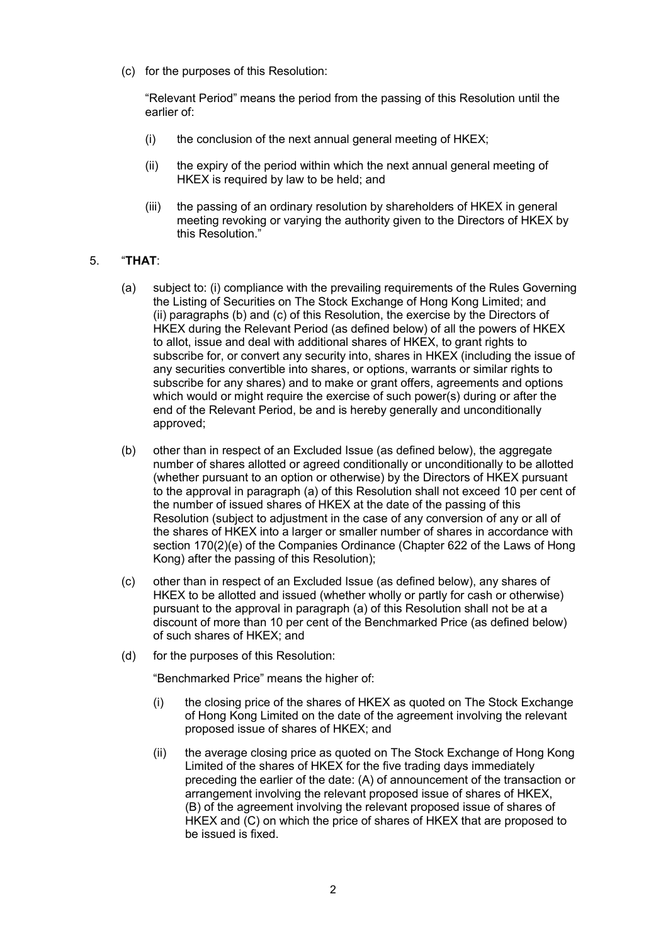(c) for the purposes of this Resolution:

"Relevant Period" means the period from the passing of this Resolution until the earlier of:

- (i) the conclusion of the next annual general meeting of HKEX;
- (ii) the expiry of the period within which the next annual general meeting of HKEX is required by law to be held; and
- (iii) the passing of an ordinary resolution by shareholders of HKEX in general meeting revoking or varying the authority given to the Directors of HKEX by this Resolution."

## 5. "**THAT**:

- (a) subject to: (i) compliance with the prevailing requirements of the Rules Governing the Listing of Securities on The Stock Exchange of Hong Kong Limited; and (ii) paragraphs (b) and (c) of this Resolution, the exercise by the Directors of HKEX during the Relevant Period (as defined below) of all the powers of HKEX to allot, issue and deal with additional shares of HKEX, to grant rights to subscribe for, or convert any security into, shares in HKEX (including the issue of any securities convertible into shares, or options, warrants or similar rights to subscribe for any shares) and to make or grant offers, agreements and options which would or might require the exercise of such power(s) during or after the end of the Relevant Period, be and is hereby generally and unconditionally approved;
- (b) other than in respect of an Excluded Issue (as defined below), the aggregate number of shares allotted or agreed conditionally or unconditionally to be allotted (whether pursuant to an option or otherwise) by the Directors of HKEX pursuant to the approval in paragraph (a) of this Resolution shall not exceed 10 per cent of the number of issued shares of HKEX at the date of the passing of this Resolution (subject to adjustment in the case of any conversion of any or all of the shares of HKEX into a larger or smaller number of shares in accordance with section 170(2)(e) of the Companies Ordinance (Chapter 622 of the Laws of Hong Kong) after the passing of this Resolution);
- (c) other than in respect of an Excluded Issue (as defined below), any shares of HKEX to be allotted and issued (whether wholly or partly for cash or otherwise) pursuant to the approval in paragraph (a) of this Resolution shall not be at a discount of more than 10 per cent of the Benchmarked Price (as defined below) of such shares of HKEX; and
- (d) for the purposes of this Resolution:

"Benchmarked Price" means the higher of:

- (i) the closing price of the shares of HKEX as quoted on The Stock Exchange of Hong Kong Limited on the date of the agreement involving the relevant proposed issue of shares of HKEX; and
- (ii) the average closing price as quoted on The Stock Exchange of Hong Kong Limited of the shares of HKEX for the five trading days immediately preceding the earlier of the date: (A) of announcement of the transaction or arrangement involving the relevant proposed issue of shares of HKEX, (B) of the agreement involving the relevant proposed issue of shares of HKEX and (C) on which the price of shares of HKEX that are proposed to be issued is fixed.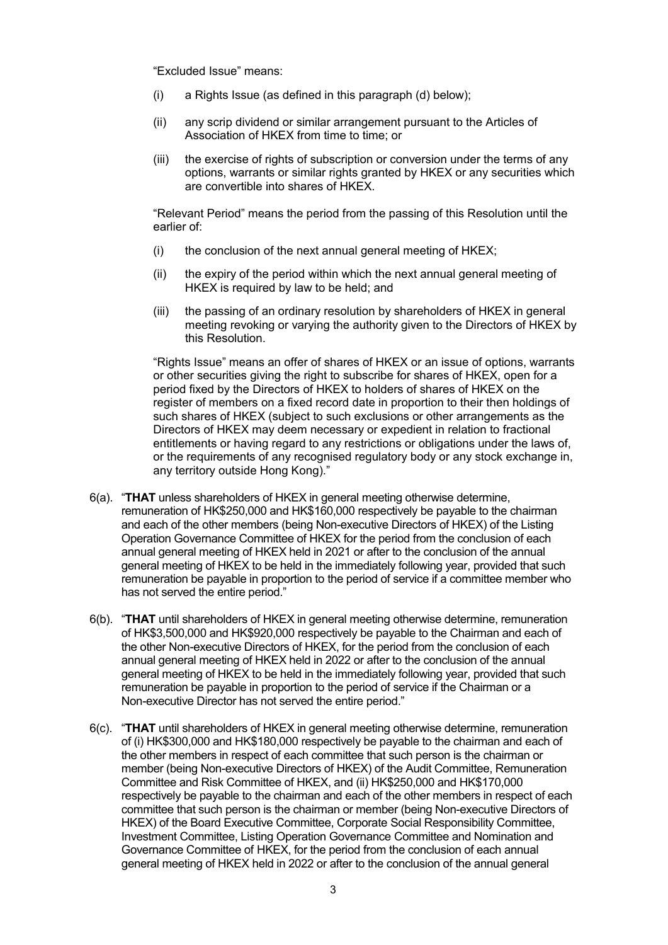"Excluded Issue" means:

- (i) a Rights Issue (as defined in this paragraph (d) below);
- (ii) any scrip dividend or similar arrangement pursuant to the Articles of Association of HKEX from time to time; or
- (iii) the exercise of rights of subscription or conversion under the terms of any options, warrants or similar rights granted by HKEX or any securities which are convertible into shares of HKEX.

"Relevant Period" means the period from the passing of this Resolution until the earlier of:

- (i) the conclusion of the next annual general meeting of HKEX;
- (ii) the expiry of the period within which the next annual general meeting of HKEX is required by law to be held; and
- (iii) the passing of an ordinary resolution by shareholders of HKEX in general meeting revoking or varying the authority given to the Directors of HKEX by this Resolution.

"Rights Issue" means an offer of shares of HKEX or an issue of options, warrants or other securities giving the right to subscribe for shares of HKEX, open for a period fixed by the Directors of HKEX to holders of shares of HKEX on the register of members on a fixed record date in proportion to their then holdings of such shares of HKEX (subject to such exclusions or other arrangements as the Directors of HKEX may deem necessary or expedient in relation to fractional entitlements or having regard to any restrictions or obligations under the laws of, or the requirements of any recognised regulatory body or any stock exchange in, any territory outside Hong Kong)."

- 6(a). "**THAT** unless shareholders of HKEX in general meeting otherwise determine, remuneration of HK\$250,000 and HK\$160,000 respectively be payable to the chairman and each of the other members (being Non-executive Directors of HKEX) of the Listing Operation Governance Committee of HKEX for the period from the conclusion of each annual general meeting of HKEX held in 2021 or after to the conclusion of the annual general meeting of HKEX to be held in the immediately following year, provided that such remuneration be payable in proportion to the period of service if a committee member who has not served the entire period."
- 6(b). "**THAT** until shareholders of HKEX in general meeting otherwise determine, remuneration of HK\$3,500,000 and HK\$920,000 respectively be payable to the Chairman and each of the other Non-executive Directors of HKEX, for the period from the conclusion of each annual general meeting of HKEX held in 2022 or after to the conclusion of the annual general meeting of HKEX to be held in the immediately following year, provided that such remuneration be payable in proportion to the period of service if the Chairman or a Non-executive Director has not served the entire period."
- 6(c). "**THAT** until shareholders of HKEX in general meeting otherwise determine, remuneration of (i) HK\$300,000 and HK\$180,000 respectively be payable to the chairman and each of the other members in respect of each committee that such person is the chairman or member (being Non-executive Directors of HKEX) of the Audit Committee, Remuneration Committee and Risk Committee of HKEX, and (ii) HK\$250,000 and HK\$170,000 respectively be payable to the chairman and each of the other members in respect of each committee that such person is the chairman or member (being Non-executive Directors of HKEX) of the Board Executive Committee, Corporate Social Responsibility Committee, Investment Committee, Listing Operation Governance Committee and Nomination and Governance Committee of HKEX, for the period from the conclusion of each annual general meeting of HKEX held in 2022 or after to the conclusion of the annual general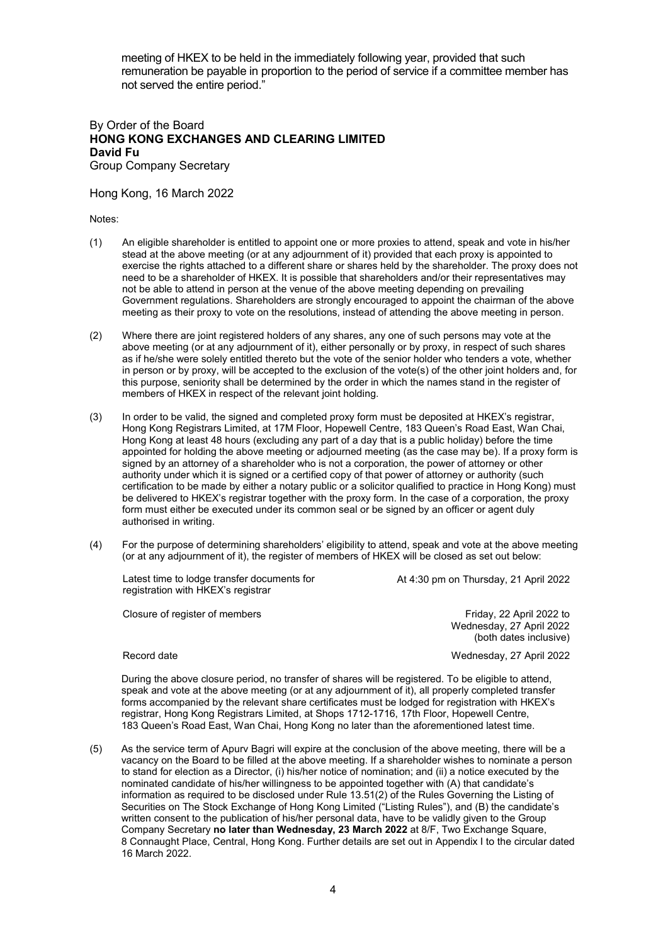meeting of HKEX to be held in the immediately following year, provided that such remuneration be payable in proportion to the period of service if a committee member has not served the entire period."

By Order of the Board **HONG KONG EXCHANGES AND CLEARING LIMITED David Fu** Group Company Secretary

Hong Kong, 16 March 2022

Notes:

- (1) An eligible shareholder is entitled to appoint one or more proxies to attend, speak and vote in his/her stead at the above meeting (or at any adjournment of it) provided that each proxy is appointed to exercise the rights attached to a different share or shares held by the shareholder. The proxy does not need to be a shareholder of HKEX. It is possible that shareholders and/or their representatives may not be able to attend in person at the venue of the above meeting depending on prevailing Government regulations. Shareholders are strongly encouraged to appoint the chairman of the above meeting as their proxy to vote on the resolutions, instead of attending the above meeting in person.
- (2) Where there are joint registered holders of any shares, any one of such persons may vote at the above meeting (or at any adjournment of it), either personally or by proxy, in respect of such shares as if he/she were solely entitled thereto but the vote of the senior holder who tenders a vote, whether in person or by proxy, will be accepted to the exclusion of the vote(s) of the other joint holders and, for this purpose, seniority shall be determined by the order in which the names stand in the register of members of HKEX in respect of the relevant joint holding.
- (3) In order to be valid, the signed and completed proxy form must be deposited at HKEX's registrar, Hong Kong Registrars Limited, at 17M Floor, Hopewell Centre, 183 Queen's Road East, Wan Chai, Hong Kong at least 48 hours (excluding any part of a day that is a public holiday) before the time appointed for holding the above meeting or adjourned meeting (as the case may be). If a proxy form is signed by an attorney of a shareholder who is not a corporation, the power of attorney or other authority under which it is signed or a certified copy of that power of attorney or authority (such certification to be made by either a notary public or a solicitor qualified to practice in Hong Kong) must be delivered to HKEX's registrar together with the proxy form. In the case of a corporation, the proxy form must either be executed under its common seal or be signed by an officer or agent duly authorised in writing.
- (4) For the purpose of determining shareholders' eligibility to attend, speak and vote at the above meeting (or at any adjournment of it), the register of members of HKEX will be closed as set out below:

Latest time to lodge transfer documents for registration with HKEX's registrar

At 4:30 pm on Thursday, 21 April 2022

Closure of register of members **Friday, 22 April 2022** to **Friday**, 22 April 2022 to

Wednesday, 27 April 2022 (both dates inclusive)

Record date Wednesday, 27 April 2022

During the above closure period, no transfer of shares will be registered. To be eligible to attend, speak and vote at the above meeting (or at any adjournment of it), all properly completed transfer forms accompanied by the relevant share certificates must be lodged for registration with HKEX's registrar, Hong Kong Registrars Limited, at Shops 1712-1716, 17th Floor, Hopewell Centre, 183 Queen's Road East, Wan Chai, Hong Kong no later than the aforementioned latest time.

(5) As the service term of Apurv Bagri will expire at the conclusion of the above meeting, there will be a vacancy on the Board to be filled at the above meeting. If a shareholder wishes to nominate a person to stand for election as a Director, (i) his/her notice of nomination; and (ii) a notice executed by the nominated candidate of his/her willingness to be appointed together with (A) that candidate's information as required to be disclosed under Rule 13.51(2) of the Rules Governing the Listing of Securities on The Stock Exchange of Hong Kong Limited ("Listing Rules"), and (B) the candidate's written consent to the publication of his/her personal data, have to be validly given to the Group Company Secretary **no later than Wednesday, 23 March 2022** at 8/F, Two Exchange Square, 8 Connaught Place, Central, Hong Kong. Further details are set out in Appendix I to the circular dated 16 March 2022.